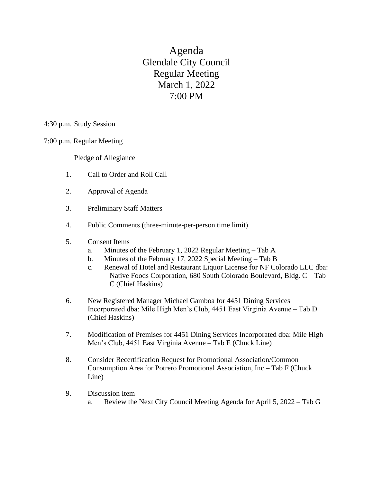Agenda Glendale City Council Regular Meeting March 1, 2022 7:00 PM

4:30 p.m. Study Session

7:00 p.m. Regular Meeting

Pledge of Allegiance

- 1. Call to Order and Roll Call
- 2. Approval of Agenda
- 3. Preliminary Staff Matters
- 4. Public Comments (three-minute-per-person time limit)
- 5. Consent Items
	- a. Minutes of the February 1, 2022 Regular Meeting Tab A
	- b. Minutes of the February 17, 2022 Special Meeting Tab B
	- c. Renewal of Hotel and Restaurant Liquor License for NF Colorado LLC dba: Native Foods Corporation, 680 South Colorado Boulevard, Bldg. C – Tab C (Chief Haskins)
- 6. New Registered Manager Michael Gamboa for 4451 Dining Services Incorporated dba: Mile High Men's Club, 4451 East Virginia Avenue – Tab D (Chief Haskins)
- 7. Modification of Premises for 4451 Dining Services Incorporated dba: Mile High Men's Club, 4451 East Virginia Avenue – Tab E (Chuck Line)
- 8. Consider Recertification Request for Promotional Association/Common Consumption Area for Potrero Promotional Association, Inc – Tab F (Chuck Line)
- 9. Discussion Item
	- a. Review the Next City Council Meeting Agenda for April 5, 2022 Tab G